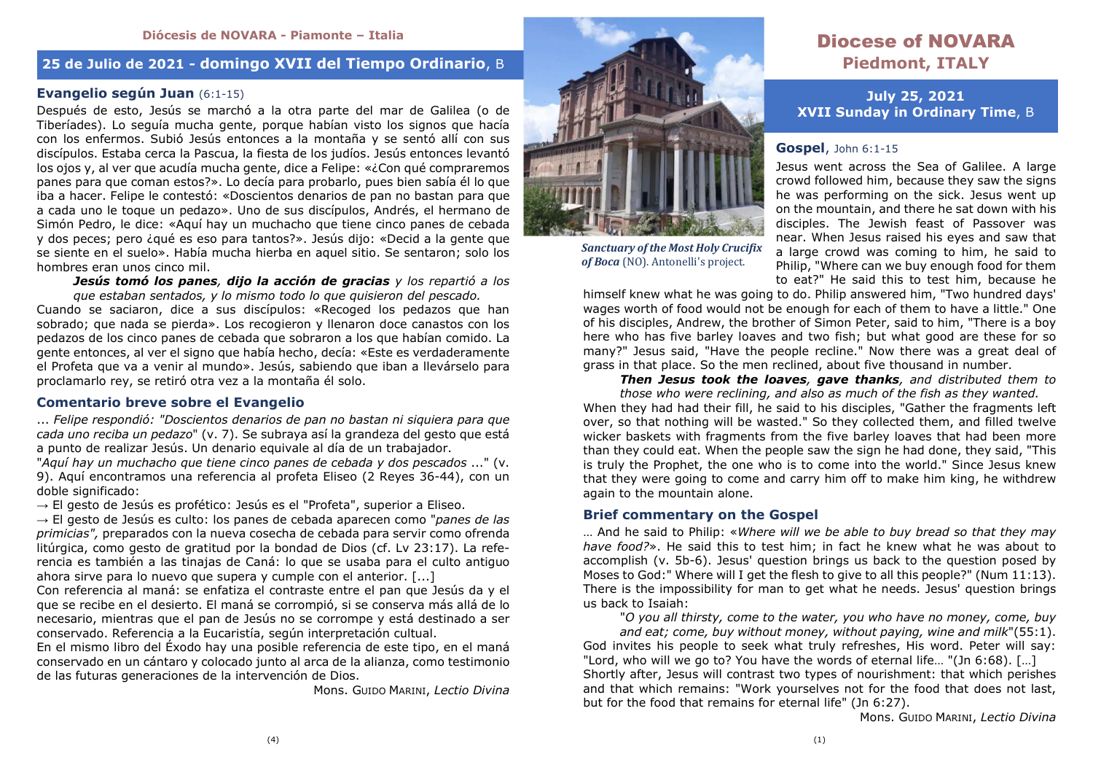## **25 de Julio de 2021 - domingo XVII del Tiempo Ordinario**,<sup>B</sup>

## **Evangelio según Juan** (6:1-15)

 Después de esto, Jesús se marchó a la otra parte del mar de Galilea (o de Tiberíades). Lo seguía mucha gente, porque habían visto los signos que hacía con los enfermos. Subió Jesús entonces a la montaña y se sentó allí con sus discípulos. Estaba cerca la Pascua, la fiesta de los judíos. Jesús entonces levantó los ojos y, al ver que acudía mucha gente, dice a Felipe: «¿Con qué compraremos panes para que coman estos?». Lo decía para probarlo, pues bien sabía él lo que iba a hacer. Felipe le contestó: «Doscientos denarios de pan no bastan para que a cada uno le toque un pedazo». Uno de sus discípulos, Andrés, el hermano de Simón Pedro, le dice: «Aquí hay un muchacho que tiene cinco panes de cebada y dos peces; pero ¿qué es eso para tantos?». Jesús dijo: «Decid a la gente que se siente en el suelo». Había mucha hierba en aquel sitio. Se sentaron; solo los hombres eran unos cinco mil.

 *Jesús tomó los panes, dijo la acción de gracias y los repartió a los que estaban sentados, y lo mismo todo lo que quisieron del pescado.* 

 Cuando se saciaron, dice a sus discípulos: «Recoged los pedazos que han sobrado; que nada se pierda». Los recogieron y llenaron doce canastos con los pedazos de los cinco panes de cebada que sobraron a los que habían comido. La gente entonces, al ver el signo que había hecho, decía: «Este es verdaderamente el Profeta que va a venir al mundo». Jesús, sabiendo que iban a llevárselo para proclamarlo rey, se retiró otra vez a la montaña él solo.

### **Comentario breve sobre el Evangelio**

... *Felipe respondió: "Doscientos denarios de pan no bastan ni siquiera para que cada uno reciba un pedazo*" (v. 7). Se subraya así la grandeza del gesto que está a punto de realizar Jesús. Un denario equivale al día de un trabajador.

 "*Aquí hay un muchacho que tiene cinco panes de cebada y dos pescados* ..." (v. 9). Aquí encontramos una referencia al profeta Eliseo (2 Reyes 36-44), con un doble significado:

 $\rightarrow$  El gesto de Jesús es profético: Jesús es el "Profeta", superior a Eliseo.

 → El gesto de Jesús es culto: los panes de cebada aparecen como "*panes de las primicias",* preparados con la nueva cosecha de cebada para servir como ofrenda litúrgica, como gesto de gratitud por la bondad de Dios (cf. Lv 23:17). La referencia es también a las tinajas de Caná: lo que se usaba para el culto antiguo ahora sirve para lo nuevo que supera y cumple con el anterior. [...]

 Con referencia al maná: se enfatiza el contraste entre el pan que Jesús da y el que se recibe en el desierto. El maná se corrompió, si se conserva más allá de lo necesario, mientras que el pan de Jesús no se corrompe y está destinado a ser conservado. Referencia a la Eucaristía, según interpretación cultual.

 En el mismo libro del Éxodo hay una posible referencia de este tipo, en el maná conservado en un cántaro y colocado junto al arca de la alianza, como testimonio de las futuras generaciones de la intervención de Dios.

Mons. GUIDO MARINI, *Lectio Divina*



*Sanctuary of the Most Holy Crucifix of Boca* (NO). Antonelli's project.

# Diocese of NOVARA **Piedmont, ITALY**

**July 25, 2021 XVII Sunday in Ordinary Time**, B

#### **Gospel**, John 6:1-15

 Jesus went across the Sea of Galilee. A large crowd followed him, because they saw the signs he was performing on the sick. Jesus went up on the mountain, and there he sat down with his disciples. The Jewish feast of Passover was near. When Jesus raised his eyes and saw that a large crowd was coming to him, he said to Philip, "Where can we buy enough food for them to eat?" He said this to test him, because he

 himself knew what he was going to do. Philip answered him, "Two hundred days' wages worth of food would not be enough for each of them to have a little." One of his disciples, Andrew, the brother of Simon Peter, said to him, "There is a boy here who has five barley loaves and two fish; but what good are these for so many?" Jesus said, "Have the people recline." Now there was a great deal of grass in that place. So the men reclined, about five thousand in number.

*Then Jesus took the loaves, gave thanks, and distributed them to* 

*those who were reclining, and also as much of the fish as they wanted.*  When they had had their fill, he said to his disciples, "Gather the fragments left over, so that nothing will be wasted." So they collected them, and filled twelve wicker baskets with fragments from the five barley loaves that had been more than they could eat. When the people saw the sign he had done, they said, "This is truly the Prophet, the one who is to come into the world." Since Jesus knew that they were going to come and carry him off to make him king, he withdrew again to the mountain alone.

#### **Brief commentary on the Gospel**

… And he said to Philip: «*Where will we be able to buy bread so that they may have food?*». He said this to test him; in fact he knew what he was about to accomplish (v. 5b-6). Jesus' question brings us back to the question posed by Moses to God:" Where will I get the flesh to give to all this people?" (Num 11:13). There is the impossibility for man to get what he needs. Jesus' question brings us back to Isaiah:

 "*O you all thirsty, come to the water, you who have no money, come, buy and eat; come, buy without money, without paying, wine and milk*"(55:1). God invites his people to seek what truly refreshes, His word. Peter will say: "Lord, who will we go to? You have the words of eternal life… "(Jn 6:68). […] Shortly after, Jesus will contrast two types of nourishment: that which perishes and that which remains: "Work yourselves not for the food that does not last, but for the food that remains for eternal life" (Jn 6:27).

Mons. GUIDO MARINI, *Lectio Divina*